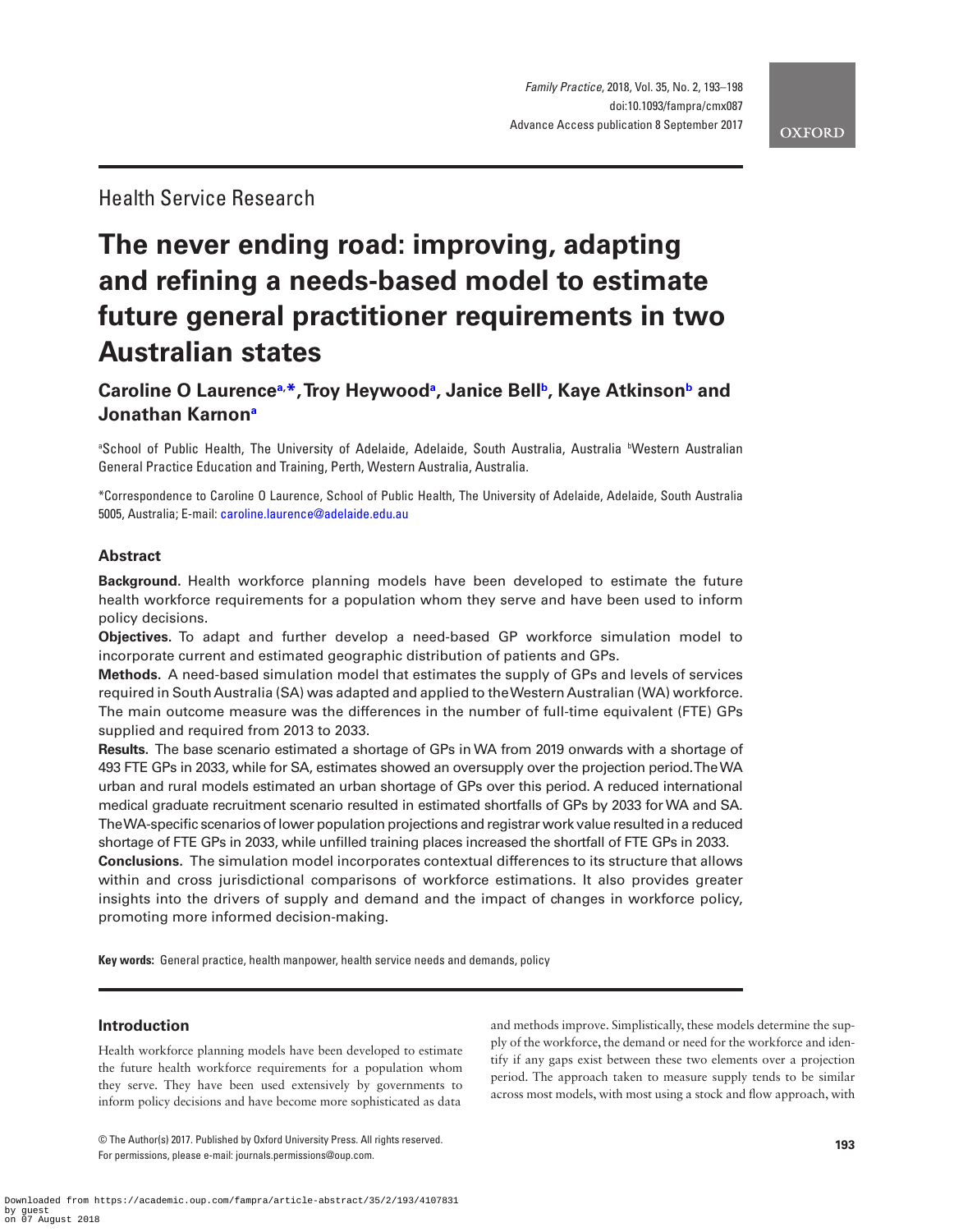Health Service Research

# **The never ending road: improving, adapting and refining a needs-based model to estimate future general practitioner requirements in two Australian states**

## **Caroline O Laurence[a,](#page-0-0) [\\*](#page-0-1), Troy Heywoo[da](#page-0-0) , Janice Bell[b,](#page-0-2) Kaye Atkinso[nb](#page-0-2) and Jonathan Karno[na](#page-0-0)**

<span id="page-0-0"></span>®School of Public Health, The University of Adelaide, Adelaide, South Australia, Australia ®Western Australian General Practice Education and Training, Perth, Western Australia, Australia.

<span id="page-0-1"></span>\*Correspondence to Caroline O Laurence, School of Public Health, The University of Adelaide, Adelaide, South Australia 5005, Australia; E-mail: [caroline.laurence@adelaide.edu.au](mailto:caroline.laurence@adelaide.edu.au?subject=)

## **Abstract**

**Background.** Health workforce planning models have been developed to estimate the future health workforce requirements for a population whom they serve and have been used to inform policy decisions.

**Objectives.** To adapt and further develop a need-based GP workforce simulation model to incorporate current and estimated geographic distribution of patients and GPs.

**Methods.** A need-based simulation model that estimates the supply of GPs and levels of services required in South Australia (SA) was adapted and applied to the Western Australian (WA) workforce. The main outcome measure was the differences in the number of full-time equivalent (FTE) GPs supplied and required from 2013 to 2033.

**Results.** The base scenario estimated a shortage of GPs in WA from 2019 onwards with a shortage of 493 FTE GPs in 2033, while for SA, estimates showed an oversupply over the projection period. The WA urban and rural models estimated an urban shortage of GPs over this period. A reduced international medical graduate recruitment scenario resulted in estimated shortfalls of GPs by 2033 for WA and SA. The WA-specific scenarios of lower population projections and registrar work value resulted in a reduced shortage of FTE GPs in 2033, while unfilled training places increased the shortfall of FTE GPs in 2033.

**Conclusions.** The simulation model incorporates contextual differences to its structure that allows within and cross jurisdictional comparisons of workforce estimations. It also provides greater insights into the drivers of supply and demand and the impact of changes in workforce policy, promoting more informed decision-making.

**Key words:** General practice, health manpower, health service needs and demands, policy

## **Introduction**

Health workforce planning models have been developed to estimate the future health workforce requirements for a population whom they serve. They have been used extensively by governments to inform policy decisions and have become more sophisticated as data

© The Author(s) 2017. Published by Oxford University Press. All rights reserved. For permissions, please e-mail: journals.permissions@oup.com.

<span id="page-0-2"></span>and methods improve. Simplistically, these models determine the supply of the workforce, the demand or need for the workforce and identify if any gaps exist between these two elements over a projection period. The approach taken to measure supply tends to be similar across most models, with most using a stock and flow approach, with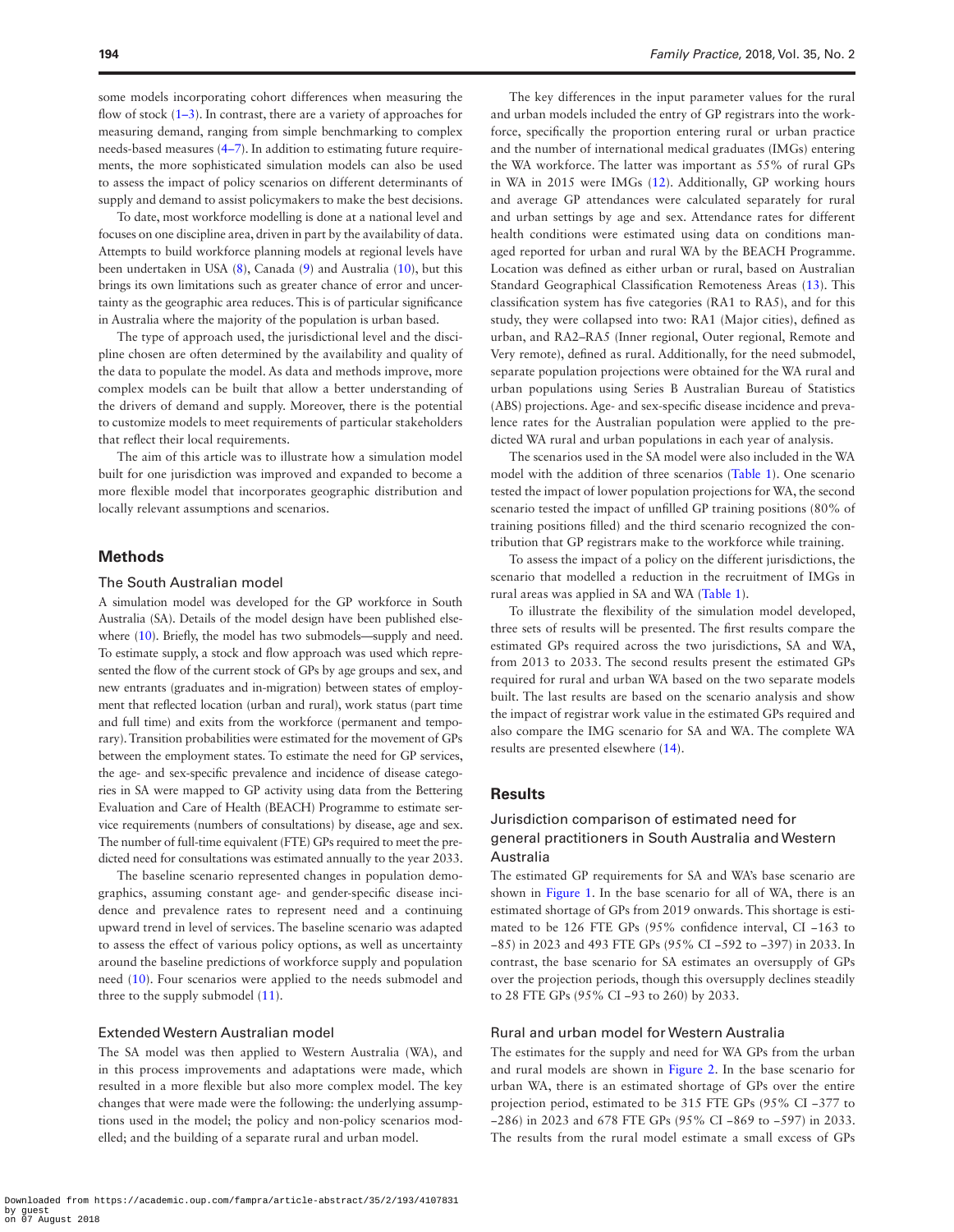some models incorporating cohort differences when measuring the flow of stock  $(1-3)$ . In contrast, there are a variety of approaches for measuring demand, ranging from simple benchmarking to complex needs-based measures [\(4–7\)](#page-5-1). In addition to estimating future requirements, the more sophisticated simulation models can also be used to assess the impact of policy scenarios on different determinants of supply and demand to assist policymakers to make the best decisions.

To date, most workforce modelling is done at a national level and focuses on one discipline area, driven in part by the availability of data. Attempts to build workforce planning models at regional levels have been undertaken in USA ([8](#page-5-2)), Canada ([9\)](#page-5-3) and Australia [\(10\)](#page-5-4), but this brings its own limitations such as greater chance of error and uncertainty as the geographic area reduces. This is of particular significance in Australia where the majority of the population is urban based.

The type of approach used, the jurisdictional level and the discipline chosen are often determined by the availability and quality of the data to populate the model. As data and methods improve, more complex models can be built that allow a better understanding of the drivers of demand and supply. Moreover, there is the potential to customize models to meet requirements of particular stakeholders that reflect their local requirements.

The aim of this article was to illustrate how a simulation model built for one jurisdiction was improved and expanded to become a more flexible model that incorporates geographic distribution and locally relevant assumptions and scenarios.

### **Methods**

#### The South Australian model

A simulation model was developed for the GP workforce in South Australia (SA). Details of the model design have been published elsewhere ([10](#page-5-4)). Briefly, the model has two submodels—supply and need. To estimate supply, a stock and flow approach was used which represented the flow of the current stock of GPs by age groups and sex, and new entrants (graduates and in-migration) between states of employment that reflected location (urban and rural), work status (part time and full time) and exits from the workforce (permanent and temporary). Transition probabilities were estimated for the movement of GPs between the employment states. To estimate the need for GP services, the age- and sex-specific prevalence and incidence of disease categories in SA were mapped to GP activity using data from the Bettering Evaluation and Care of Health (BEACH) Programme to estimate service requirements (numbers of consultations) by disease, age and sex. The number of full-time equivalent (FTE) GPs required to meet the predicted need for consultations was estimated annually to the year 2033.

The baseline scenario represented changes in population demographics, assuming constant age- and gender-specific disease incidence and prevalence rates to represent need and a continuing upward trend in level of services. The baseline scenario was adapted to assess the effect of various policy options, as well as uncertainty around the baseline predictions of workforce supply and population need ([10\)](#page-5-4). Four scenarios were applied to the needs submodel and three to the supply submodel [\(11\)](#page-5-5).

#### Extended Western Australian model

The SA model was then applied to Western Australia (WA), and in this process improvements and adaptations were made, which resulted in a more flexible but also more complex model. The key changes that were made were the following: the underlying assumptions used in the model; the policy and non-policy scenarios modelled; and the building of a separate rural and urban model.

The key differences in the input parameter values for the rural and urban models included the entry of GP registrars into the workforce, specifically the proportion entering rural or urban practice and the number of international medical graduates (IMGs) entering the WA workforce. The latter was important as 55% of rural GPs in WA in 2015 were IMGs ([12\)](#page-5-6). Additionally, GP working hours and average GP attendances were calculated separately for rural and urban settings by age and sex. Attendance rates for different health conditions were estimated using data on conditions managed reported for urban and rural WA by the BEACH Programme. Location was defined as either urban or rural, based on Australian Standard Geographical Classification Remoteness Areas ([13\)](#page-5-7). This classification system has five categories (RA1 to RA5), and for this study, they were collapsed into two: RA1 (Major cities), defined as urban, and RA2–RA5 (Inner regional, Outer regional, Remote and Very remote), defined as rural. Additionally, for the need submodel, separate population projections were obtained for the WA rural and urban populations using Series B Australian Bureau of Statistics (ABS) projections. Age- and sex-specific disease incidence and prevalence rates for the Australian population were applied to the predicted WA rural and urban populations in each year of analysis.

The scenarios used in the SA model were also included in the WA model with the addition of three scenarios ([Table 1\)](#page-2-0). One scenario tested the impact of lower population projections for WA, the second scenario tested the impact of unfilled GP training positions (80% of training positions filled) and the third scenario recognized the contribution that GP registrars make to the workforce while training.

To assess the impact of a policy on the different jurisdictions, the scenario that modelled a reduction in the recruitment of IMGs in rural areas was applied in SA and WA ([Table 1](#page-2-0)).

To illustrate the flexibility of the simulation model developed, three sets of results will be presented. The first results compare the estimated GPs required across the two jurisdictions, SA and WA, from 2013 to 2033. The second results present the estimated GPs required for rural and urban WA based on the two separate models built. The last results are based on the scenario analysis and show the impact of registrar work value in the estimated GPs required and also compare the IMG scenario for SA and WA. The complete WA results are presented elsewhere ([14\)](#page-5-8).

## **Results**

## Jurisdiction comparison of estimated need for general practitioners in South Australia and Western Australia

The estimated GP requirements for SA and WA's base scenario are shown in [Figure 1](#page-2-1). In the base scenario for all of WA, there is an estimated shortage of GPs from 2019 onwards. This shortage is estimated to be 126 FTE GPs (95% confidence interval, CI −163 to −85) in 2023 and 493 FTE GPs (95% CI −592 to −397) in 2033. In contrast, the base scenario for SA estimates an oversupply of GPs over the projection periods, though this oversupply declines steadily to 28 FTE GPs (95% CI −93 to 260) by 2033.

#### Rural and urban model for Western Australia

The estimates for the supply and need for WA GPs from the urban and rural models are shown in [Figure 2](#page-3-0). In the base scenario for urban WA, there is an estimated shortage of GPs over the entire projection period, estimated to be 315 FTE GPs (95% CI −377 to −286) in 2023 and 678 FTE GPs (95% CI −869 to −597) in 2033. The results from the rural model estimate a small excess of GPs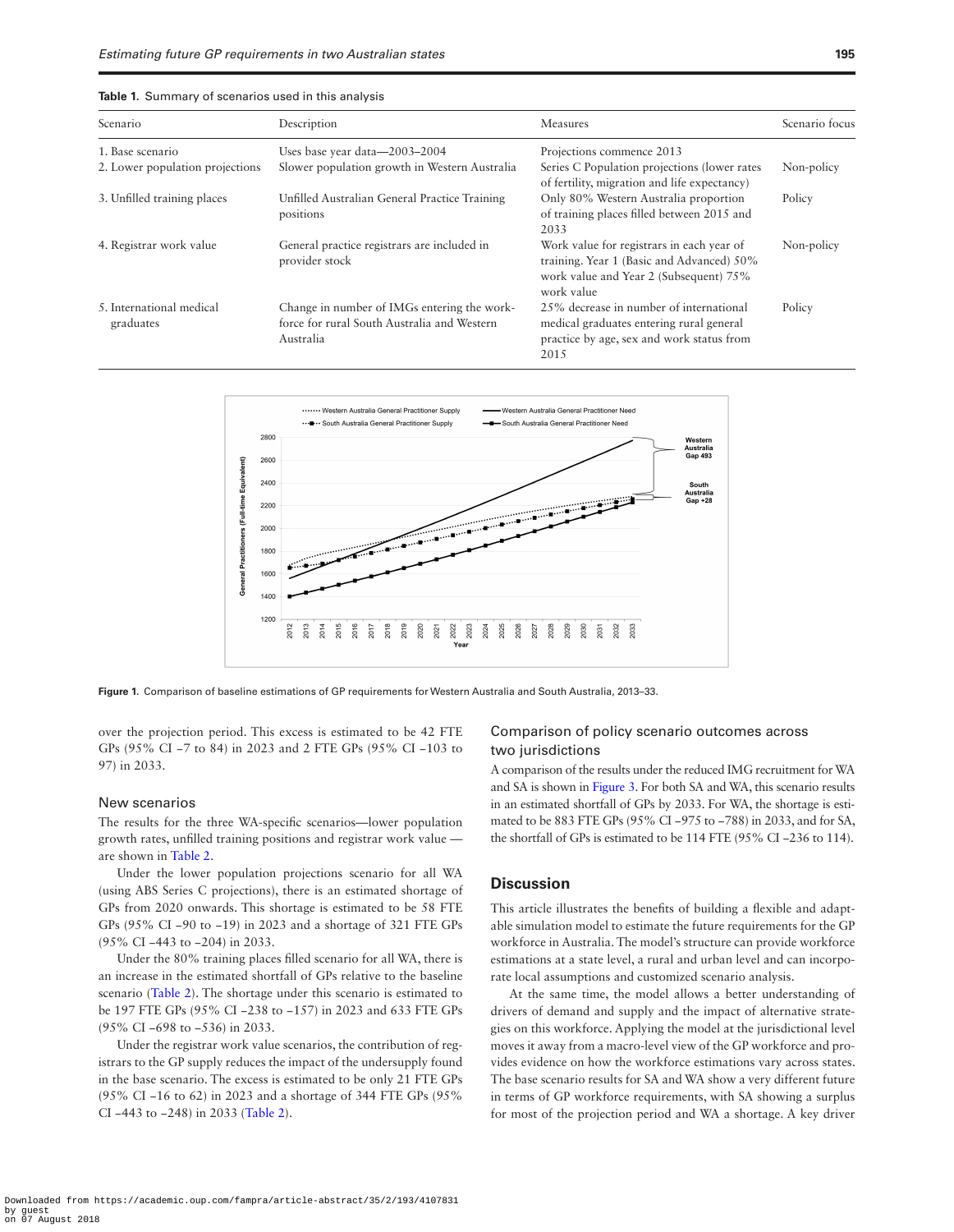<span id="page-2-0"></span>

| Table 1. Summary of scenarios used in this analysis |  |
|-----------------------------------------------------|--|
|-----------------------------------------------------|--|

| Scenario                              | Description                                                                                             | Measures                                                                                                                                       | Scenario focus |
|---------------------------------------|---------------------------------------------------------------------------------------------------------|------------------------------------------------------------------------------------------------------------------------------------------------|----------------|
| 1. Base scenario                      | Uses base year data-2003-2004                                                                           | Projections commence 2013                                                                                                                      |                |
| 2. Lower population projections       | Slower population growth in Western Australia                                                           | Series C Population projections (lower rates<br>of fertility, migration and life expectancy)                                                   | Non-policy     |
| 3. Unfilled training places           | Unfilled Australian General Practice Training<br>positions                                              | Only 80% Western Australia proportion<br>of training places filled between 2015 and<br>2033                                                    | Policy         |
| 4. Registrar work value               | General practice registrars are included in<br>provider stock                                           | Work value for registrars in each year of<br>training. Year 1 (Basic and Advanced) 50%<br>work value and Year 2 (Subsequent) 75%<br>work value | Non-policy     |
| 5. International medical<br>graduates | Change in number of IMGs entering the work-<br>force for rural South Australia and Western<br>Australia | 25% decrease in number of international<br>medical graduates entering rural general<br>practice by age, sex and work status from<br>2015       | Policy         |



**Figure 1.** Comparison of baseline estimations of GP requirements for Western Australia and South Australia, 2013–33.

over the projection period. This excess is estimated to be 42 FTE GPs (95% CI −7 to 84) in 2023 and 2 FTE GPs (95% CI −103 to 97) in 2033.

#### New scenarios

The results for the three WA-specific scenarios—lower population growth rates, unfilled training positions and registrar work value are shown in [Table 2](#page-3-1).

Under the lower population projections scenario for all WA (using ABS Series C projections), there is an estimated shortage of GPs from 2020 onwards. This shortage is estimated to be 58 FTE GPs (95% CI −90 to −19) in 2023 and a shortage of 321 FTE GPs (95% CI −443 to −204) in 2033.

Under the 80% training places filled scenario for all WA, there is an increase in the estimated shortfall of GPs relative to the baseline scenario ([Table 2\)](#page-3-1). The shortage under this scenario is estimated to be 197 FTE GPs (95% CI −238 to −157) in 2023 and 633 FTE GPs (95% CI −698 to −536) in 2033.

Under the registrar work value scenarios, the contribution of registrars to the GP supply reduces the impact of the undersupply found in the base scenario. The excess is estimated to be only 21 FTE GPs (95% CI −16 to 62) in 2023 and a shortage of 344 FTE GPs (95% CI −443 to −248) in 2033 [\(Table 2\)](#page-3-1).

## <span id="page-2-1"></span>Comparison of policy scenario outcomes across two jurisdictions

A comparison of the results under the reduced IMG recruitment for WA and SA is shown in [Figure 3.](#page-4-0) For both SA and WA, this scenario results in an estimated shortfall of GPs by 2033. For WA, the shortage is estimated to be 883 FTE GPs (95% CI −975 to −788) in 2033, and for SA, the shortfall of GPs is estimated to be 114 FTE (95% CI −236 to 114).

## **Discussion**

This article illustrates the benefits of building a flexible and adaptable simulation model to estimate the future requirements for the GP workforce in Australia. The model's structure can provide workforce estimations at a state level, a rural and urban level and can incorporate local assumptions and customized scenario analysis.

At the same time, the model allows a better understanding of drivers of demand and supply and the impact of alternative strategies on this workforce. Applying the model at the jurisdictional level moves it away from a macro-level view of the GP workforce and provides evidence on how the workforce estimations vary across states. The base scenario results for SA and WA show a very different future in terms of GP workforce requirements, with SA showing a surplus for most of the projection period and WA a shortage. A key driver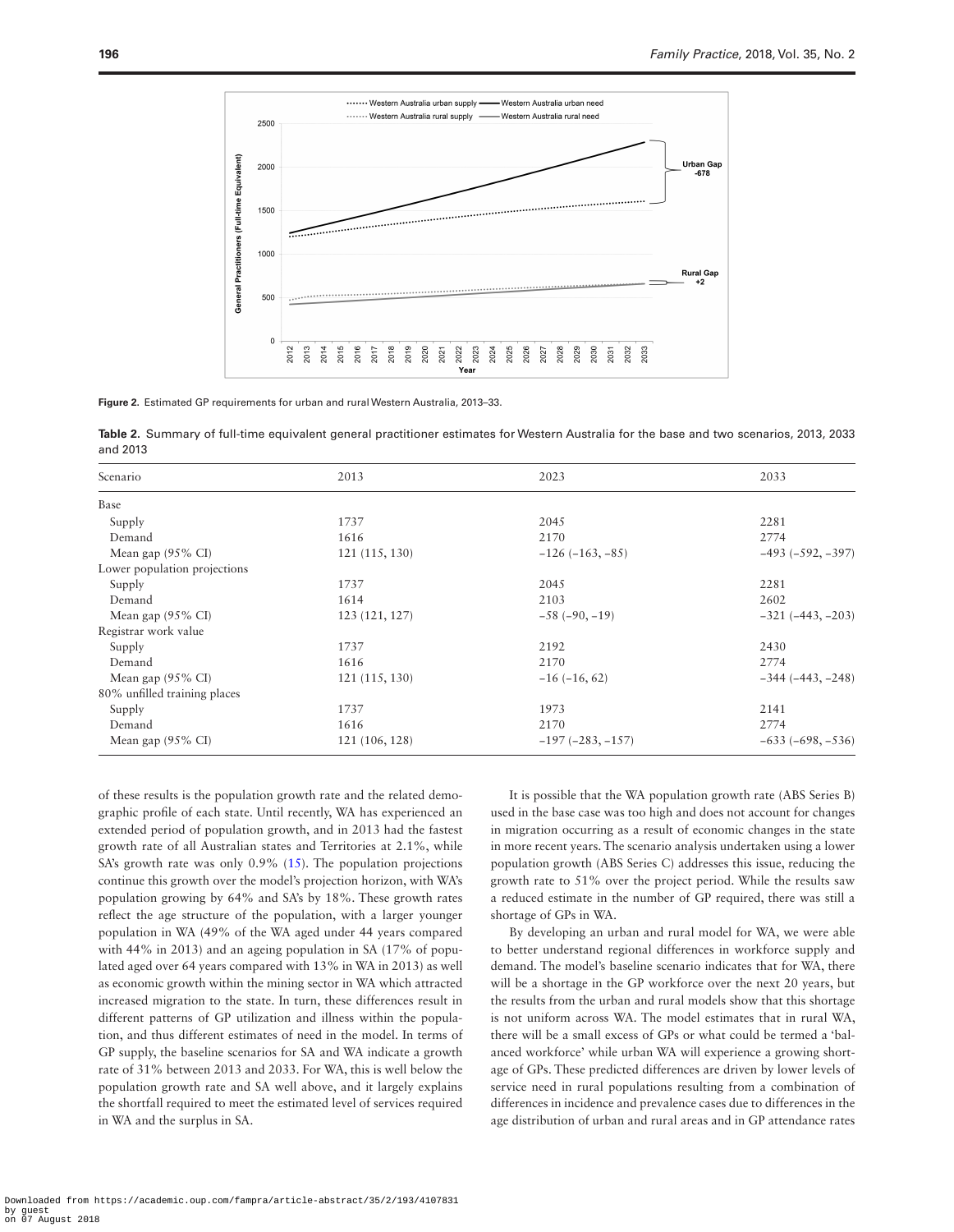

<span id="page-3-0"></span>**Figure 2.** Estimated GP requirements for urban and rural Western Australia, 2013–33.

<span id="page-3-1"></span>**Table 2.** Summary of full-time equivalent general practitioner estimates for Western Australia for the base and two scenarios, 2013, 2033 and 2013

| Scenario                     | 2013           | 2023              | 2033                |
|------------------------------|----------------|-------------------|---------------------|
| Base                         |                |                   |                     |
| Supply                       | 1737           | 2045              | 2281                |
| Demand                       | 1616           | 2170              | 2774                |
| Mean gap $(95\% \text{ CI})$ | 121(115, 130)  | $-126(-163,-85)$  | $-493 (-592, -397)$ |
| Lower population projections |                |                   |                     |
| Supply                       | 1737           | 2045              | 2281                |
| Demand                       | 1614           | 2103              | 2602                |
| Mean gap $(95\% \text{ CI})$ | 123 (121, 127) | $-58(-90,-19)$    | $-321(-443,-203)$   |
| Registrar work value         |                |                   |                     |
| Supply                       | 1737           | 2192              | 2430                |
| Demand                       | 1616           | 2170              | 2774                |
| Mean gap $(95\% \text{ CI})$ | 121(115, 130)  | $-16(-16, 62)$    | $-344 (-443, -248)$ |
| 80% unfilled training places |                |                   |                     |
| Supply                       | 1737           | 1973              | 2141                |
| Demand                       | 1616           | 2170              | 2774                |
| Mean gap $(95\% \text{ CI})$ | 121 (106, 128) | $-197(-283,-157)$ | $-633(-698, -536)$  |

of these results is the population growth rate and the related demographic profile of each state. Until recently, WA has experienced an extended period of population growth, and in 2013 had the fastest growth rate of all Australian states and Territories at 2.1%, while SA's growth rate was only 0.9% ([15\)](#page-5-9). The population projections continue this growth over the model's projection horizon, with WA's population growing by 64% and SA's by 18%. These growth rates reflect the age structure of the population, with a larger younger population in WA (49% of the WA aged under 44 years compared with 44% in 2013) and an ageing population in SA (17% of populated aged over 64 years compared with 13% in WA in 2013) as well as economic growth within the mining sector in WA which attracted increased migration to the state. In turn, these differences result in different patterns of GP utilization and illness within the population, and thus different estimates of need in the model. In terms of GP supply, the baseline scenarios for SA and WA indicate a growth rate of 31% between 2013 and 2033. For WA, this is well below the population growth rate and SA well above, and it largely explains the shortfall required to meet the estimated level of services required in WA and the surplus in SA.

It is possible that the WA population growth rate (ABS Series B) used in the base case was too high and does not account for changes in migration occurring as a result of economic changes in the state in more recent years. The scenario analysis undertaken using a lower population growth (ABS Series C) addresses this issue, reducing the growth rate to 51% over the project period. While the results saw a reduced estimate in the number of GP required, there was still a shortage of GPs in WA.

By developing an urban and rural model for WA, we were able to better understand regional differences in workforce supply and demand. The model's baseline scenario indicates that for WA, there will be a shortage in the GP workforce over the next 20 years, but the results from the urban and rural models show that this shortage is not uniform across WA. The model estimates that in rural WA, there will be a small excess of GPs or what could be termed a 'balanced workforce' while urban WA will experience a growing shortage of GPs. These predicted differences are driven by lower levels of service need in rural populations resulting from a combination of differences in incidence and prevalence cases due to differences in the age distribution of urban and rural areas and in GP attendance rates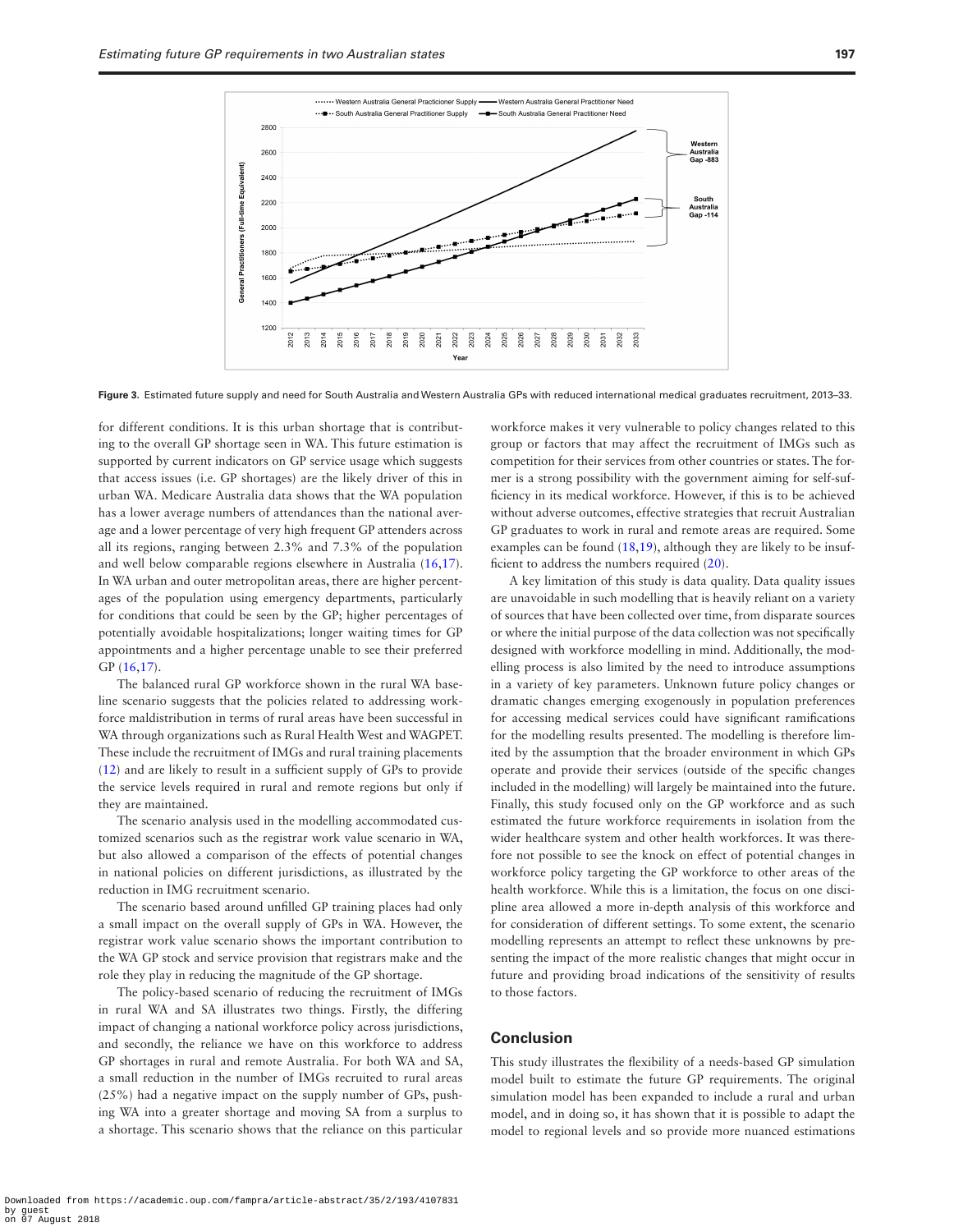

**Figure 3.** Estimated future supply and need for South Australia and Western Australia GPs with reduced international medical graduates recruitment, 2013–33.

for different conditions. It is this urban shortage that is contributing to the overall GP shortage seen in WA. This future estimation is supported by current indicators on GP service usage which suggests that access issues (i.e. GP shortages) are the likely driver of this in urban WA. Medicare Australia data shows that the WA population has a lower average numbers of attendances than the national average and a lower percentage of very high frequent GP attenders across all its regions, ranging between 2.3% and 7.3% of the population and well below comparable regions elsewhere in Australia ([16](#page-5-10),[17\)](#page-5-11). In WA urban and outer metropolitan areas, there are higher percentages of the population using emergency departments, particularly for conditions that could be seen by the GP; higher percentages of potentially avoidable hospitalizations; longer waiting times for GP appointments and a higher percentage unable to see their preferred GP ([16,](#page-5-10)[17\)](#page-5-11).

The balanced rural GP workforce shown in the rural WA baseline scenario suggests that the policies related to addressing workforce maldistribution in terms of rural areas have been successful in WA through organizations such as Rural Health West and WAGPET. These include the recruitment of IMGs and rural training placements ([12\)](#page-5-6) and are likely to result in a sufficient supply of GPs to provide the service levels required in rural and remote regions but only if they are maintained.

The scenario analysis used in the modelling accommodated customized scenarios such as the registrar work value scenario in WA, but also allowed a comparison of the effects of potential changes in national policies on different jurisdictions, as illustrated by the reduction in IMG recruitment scenario.

The scenario based around unfilled GP training places had only a small impact on the overall supply of GPs in WA. However, the registrar work value scenario shows the important contribution to the WA GP stock and service provision that registrars make and the role they play in reducing the magnitude of the GP shortage.

The policy-based scenario of reducing the recruitment of IMGs in rural WA and SA illustrates two things. Firstly, the differing impact of changing a national workforce policy across jurisdictions, and secondly, the reliance we have on this workforce to address GP shortages in rural and remote Australia. For both WA and SA, a small reduction in the number of IMGs recruited to rural areas (25%) had a negative impact on the supply number of GPs, pushing WA into a greater shortage and moving SA from a surplus to a shortage. This scenario shows that the reliance on this particular

<span id="page-4-0"></span>workforce makes it very vulnerable to policy changes related to this group or factors that may affect the recruitment of IMGs such as competition for their services from other countries or states. The former is a strong possibility with the government aiming for self-sufficiency in its medical workforce. However, if this is to be achieved without adverse outcomes, effective strategies that recruit Australian GP graduates to work in rural and remote areas are required. Some examples can be found [\(18](#page-5-12)[,19](#page-5-13)), although they are likely to be insufficient to address the numbers required [\(20](#page-5-14)).

A key limitation of this study is data quality. Data quality issues are unavoidable in such modelling that is heavily reliant on a variety of sources that have been collected over time, from disparate sources or where the initial purpose of the data collection was not specifically designed with workforce modelling in mind. Additionally, the modelling process is also limited by the need to introduce assumptions in a variety of key parameters. Unknown future policy changes or dramatic changes emerging exogenously in population preferences for accessing medical services could have significant ramifications for the modelling results presented. The modelling is therefore limited by the assumption that the broader environment in which GPs operate and provide their services (outside of the specific changes included in the modelling) will largely be maintained into the future. Finally, this study focused only on the GP workforce and as such estimated the future workforce requirements in isolation from the wider healthcare system and other health workforces. It was therefore not possible to see the knock on effect of potential changes in workforce policy targeting the GP workforce to other areas of the health workforce. While this is a limitation, the focus on one discipline area allowed a more in-depth analysis of this workforce and for consideration of different settings. To some extent, the scenario modelling represents an attempt to reflect these unknowns by presenting the impact of the more realistic changes that might occur in future and providing broad indications of the sensitivity of results to those factors.

## **Conclusion**

This study illustrates the flexibility of a needs-based GP simulation model built to estimate the future GP requirements. The original simulation model has been expanded to include a rural and urban model, and in doing so, it has shown that it is possible to adapt the model to regional levels and so provide more nuanced estimations